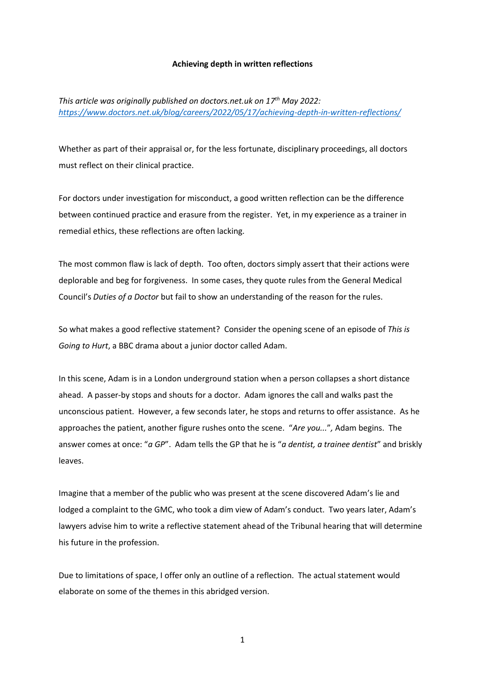### **Achieving depth in written reflections**

*This article was originally published on doctors.net.uk on 17th May 2022: <https://www.doctors.net.uk/blog/careers/2022/05/17/achieving-depth-in-written-reflections/>*

Whether as part of their appraisal or, for the less fortunate, disciplinary proceedings, all doctors must reflect on their clinical practice.

For doctors under investigation for misconduct, a good written reflection can be the difference between continued practice and erasure from the register. Yet, in my experience as a trainer in remedial ethics, these reflections are often lacking.

The most common flaw is lack of depth. Too often, doctors simply assert that their actions were deplorable and beg for forgiveness. In some cases, they quote rules from the General Medical Council's *Duties of a Doctor* but fail to show an understanding of the reason for the rules.

So what makes a good reflective statement? Consider the opening scene of an episode of *This is Going to Hurt*, a BBC drama about a junior doctor called Adam.

In this scene, Adam is in a London underground station when a person collapses a short distance ahead. A passer-by stops and shouts for a doctor. Adam ignores the call and walks past the unconscious patient. However, a few seconds later, he stops and returns to offer assistance. As he approaches the patient, another figure rushes onto the scene. "*Are you...*"*,* Adam begins. The answer comes at once: "*a GP*". Adam tells the GP that he is "*a dentist, a trainee dentist*" and briskly leaves.

Imagine that a member of the public who was present at the scene discovered Adam's lie and lodged a complaint to the GMC, who took a dim view of Adam's conduct. Two years later, Adam's lawyers advise him to write a reflective statement ahead of the Tribunal hearing that will determine his future in the profession.

Due to limitations of space, I offer only an outline of a reflection. The actual statement would elaborate on some of the themes in this abridged version.

1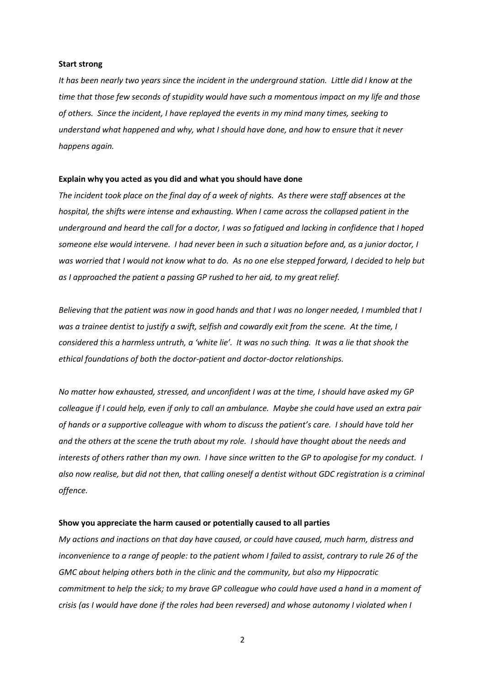#### **Start strong**

*It has been nearly two years since the incident in the underground station. Little did I know at the time that those few seconds of stupidity would have such a momentous impact on my life and those of others. Since the incident, I have replayed the events in my mind many times, seeking to understand what happened and why, what I should have done, and how to ensure that it never happens again.*

### **Explain why you acted as you did and what you should have done**

*The incident took place on the final day of a week of nights. As there were staff absences at the hospital, the shifts were intense and exhausting. When I came across the collapsed patient in the underground and heard the call for a doctor, I was so fatigued and lacking in confidence that I hoped someone else would intervene. I had never been in such a situation before and, as a junior doctor, I*  was worried that I would not know what to do. As no one else stepped forward, I decided to help but *as I approached the patient a passing GP rushed to her aid, to my great relief.*

*Believing that the patient was now in good hands and that I was no longer needed, I mumbled that I was a trainee dentist to justify a swift, selfish and cowardly exit from the scene. At the time, I considered this a harmless untruth, a 'white lie'. It was no such thing. It was a lie that shook the ethical foundations of both the doctor-patient and doctor-doctor relationships.* 

*No matter how exhausted, stressed, and unconfident I was at the time, I should have asked my GP colleague if I could help, even if only to call an ambulance. Maybe she could have used an extra pair of hands or a supportive colleague with whom to discuss the patient's care. I should have told her and the others at the scene the truth about my role. I should have thought about the needs and interests of others rather than my own. I have since written to the GP to apologise for my conduct. I also now realise, but did not then, that calling oneself a dentist without GDC registration is a criminal offence.* 

#### **Show you appreciate the harm caused or potentially caused to all parties**

*My actions and inactions on that day have caused, or could have caused, much harm, distress and inconvenience to a range of people: to the patient whom I failed to assist, contrary to rule 26 of the GMC about helping others both in the clinic and the community, but also my Hippocratic commitment to help the sick; to my brave GP colleague who could have used a hand in a moment of crisis (as I would have done if the roles had been reversed) and whose autonomy I violated when I* 

2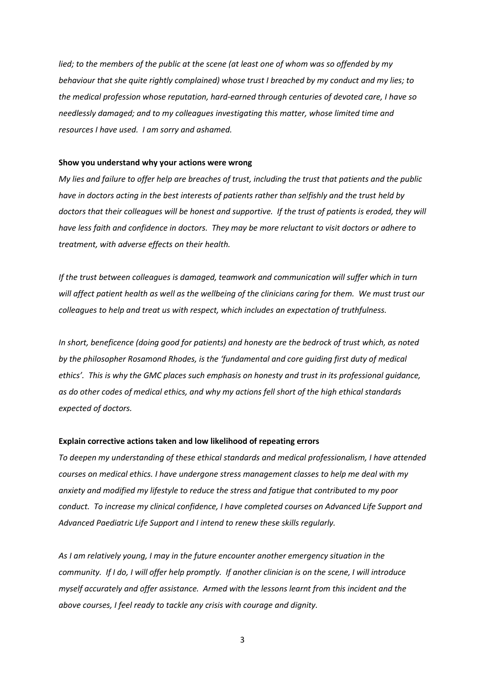*lied; to the members of the public at the scene (at least one of whom was so offended by my behaviour that she quite rightly complained) whose trust I breached by my conduct and my lies; to the medical profession whose reputation, hard-earned through centuries of devoted care, I have so needlessly damaged; and to my colleagues investigating this matter, whose limited time and resources I have used. I am sorry and ashamed.* 

# **Show you understand why your actions were wrong**

*My lies and failure to offer help are breaches of trust, including the trust that patients and the public have in doctors acting in the best interests of patients rather than selfishly and the trust held by doctors that their colleagues will be honest and supportive. If the trust of patients is eroded, they will have less faith and confidence in doctors. They may be more reluctant to visit doctors or adhere to treatment, with adverse effects on their health.* 

*If the trust between colleagues is damaged, teamwork and communication will suffer which in turn will affect patient health as well as the wellbeing of the clinicians caring for them. We must trust our colleagues to help and treat us with respect, which includes an expectation of truthfulness.* 

*In short, beneficence (doing good for patients) and honesty are the bedrock of trust which, as noted by the philosopher Rosamond Rhodes, is the 'fundamental and core guiding first duty of medical ethics'. This is why the GMC places such emphasis on honesty and trust in its professional guidance, as do other codes of medical ethics, and why my actions fell short of the high ethical standards expected of doctors.*

# **Explain corrective actions taken and low likelihood of repeating errors**

*To deepen my understanding of these ethical standards and medical professionalism, I have attended courses on medical ethics. I have undergone stress management classes to help me deal with my anxiety and modified my lifestyle to reduce the stress and fatigue that contributed to my poor conduct. To increase my clinical confidence, I have completed courses on Advanced Life Support and Advanced Paediatric Life Support and I intend to renew these skills regularly.*

*As I am relatively young, I may in the future encounter another emergency situation in the community. If I do, I will offer help promptly. If another clinician is on the scene, I will introduce myself accurately and offer assistance. Armed with the lessons learnt from this incident and the above courses, I feel ready to tackle any crisis with courage and dignity.* 

3